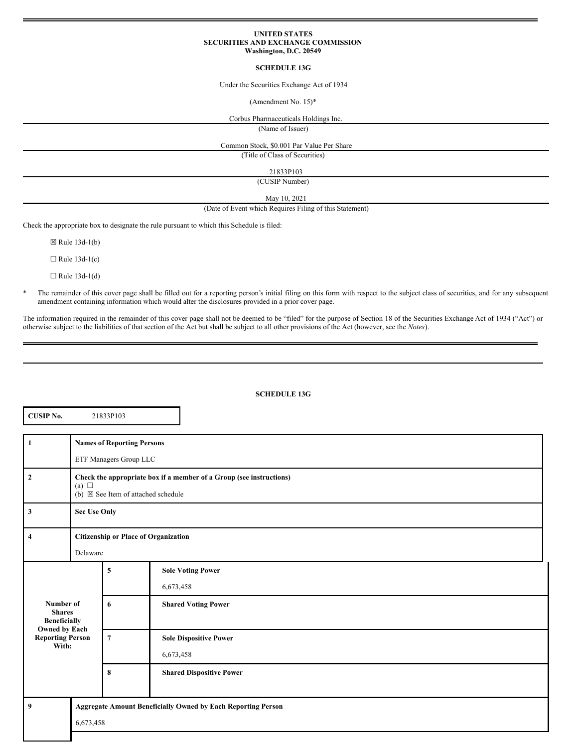### **UNITED STATES SECURITIES AND EXCHANGE COMMISSION Washington, D.C. 20549**

### **SCHEDULE 13G**

### Under the Securities Exchange Act of 1934

(Amendment No. 15)\*

Corbus Pharmaceuticals Holdings Inc.

(Name of Issuer)

Common Stock, \$0.001 Par Value Per Share

(Title of Class of Securities)

21833P103

(CUSIP Number)

May 10, 2021

### (Date of Event which Requires Filing of this Statement)

Check the appropriate box to designate the rule pursuant to which this Schedule is filed:

☒ Rule 13d-1(b)

 $\Box$  Rule 13d-1(c)

 $\Box$  Rule 13d-1(d)

\* The remainder of this cover page shall be filled out for a reporting person's initial filing on this form with respect to the subject class of securities, and for any subsequent amendment containing information which would alter the disclosures provided in a prior cover page.

The information required in the remainder of this cover page shall not be deemed to be "filed" for the purpose of Section 18 of the Securities Exchange Act of 1934 ("Act") or otherwise subject to the liabilities of that section of the Act but shall be subject to all other provisions of the Act (however, see the *Notes*).

### **SCHEDULE 13G**

| <b>CUSIP No.</b>                                             |                                                                                                                                    | 21833P103      |                                                                     |  |  |  |
|--------------------------------------------------------------|------------------------------------------------------------------------------------------------------------------------------------|----------------|---------------------------------------------------------------------|--|--|--|
| $\mathbf{1}$                                                 | <b>Names of Reporting Persons</b><br>ETF Managers Group LLC                                                                        |                |                                                                     |  |  |  |
| $\overline{2}$                                               | Check the appropriate box if a member of a Group (see instructions)<br>(a) $\Box$<br>(b) $\boxtimes$ See Item of attached schedule |                |                                                                     |  |  |  |
| $\overline{\mathbf{3}}$                                      | <b>Sec Use Only</b>                                                                                                                |                |                                                                     |  |  |  |
| $\overline{\mathbf{4}}$                                      | <b>Citizenship or Place of Organization</b><br>Delaware                                                                            |                |                                                                     |  |  |  |
| Number of                                                    |                                                                                                                                    | 5<br>6         | <b>Sole Voting Power</b><br>6,673,458<br><b>Shared Voting Power</b> |  |  |  |
| <b>Shares</b><br><b>Beneficially</b><br><b>Owned by Each</b> |                                                                                                                                    |                |                                                                     |  |  |  |
| <b>Reporting Person</b><br>With:                             |                                                                                                                                    | $\overline{7}$ | <b>Sole Dispositive Power</b><br>6,673,458                          |  |  |  |
|                                                              |                                                                                                                                    | 8              | <b>Shared Dispositive Power</b>                                     |  |  |  |
| 9                                                            | <b>Aggregate Amount Beneficially Owned by Each Reporting Person</b><br>6,673,458                                                   |                |                                                                     |  |  |  |
|                                                              |                                                                                                                                    |                |                                                                     |  |  |  |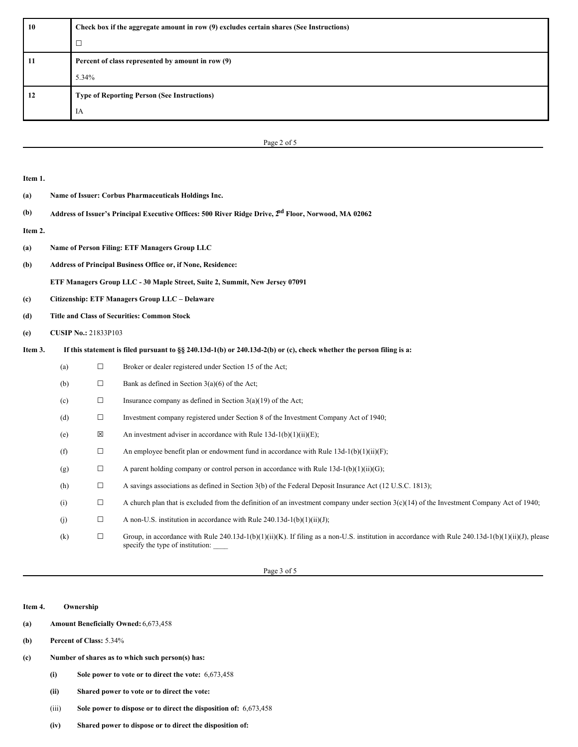| 10 | Check box if the aggregate amount in row (9) excludes certain shares (See Instructions) |  |  |
|----|-----------------------------------------------------------------------------------------|--|--|
|    | $\Box$                                                                                  |  |  |
| 11 | Percent of class represented by amount in row (9)                                       |  |  |
|    | 5.34%                                                                                   |  |  |
| 12 | <b>Type of Reporting Person (See Instructions)</b>                                      |  |  |
|    | IA                                                                                      |  |  |

| Page 2 of |  |  |
|-----------|--|--|

| Item 1. |                                                                                                                        |        |                                                                                                                                                                                       |  |  |  |
|---------|------------------------------------------------------------------------------------------------------------------------|--------|---------------------------------------------------------------------------------------------------------------------------------------------------------------------------------------|--|--|--|
| (a)     | Name of Issuer: Corbus Pharmaceuticals Holdings Inc.                                                                   |        |                                                                                                                                                                                       |  |  |  |
| (b)     | Address of Issuer's Principal Executive Offices: 500 River Ridge Drive, 2 <sup>nd</sup> Floor, Norwood, MA 02062       |        |                                                                                                                                                                                       |  |  |  |
| Item 2. |                                                                                                                        |        |                                                                                                                                                                                       |  |  |  |
| (a)     | <b>Name of Person Filing: ETF Managers Group LLC</b>                                                                   |        |                                                                                                                                                                                       |  |  |  |
| (b)     | Address of Principal Business Office or, if None, Residence:                                                           |        |                                                                                                                                                                                       |  |  |  |
|         | ETF Managers Group LLC - 30 Maple Street, Suite 2, Summit, New Jersey 07091                                            |        |                                                                                                                                                                                       |  |  |  |
| (c)     | Citizenship: ETF Managers Group LLC - Delaware                                                                         |        |                                                                                                                                                                                       |  |  |  |
| (d)     | <b>Title and Class of Securities: Common Stock</b>                                                                     |        |                                                                                                                                                                                       |  |  |  |
| (e)     | <b>CUSIP No.: 21833P103</b>                                                                                            |        |                                                                                                                                                                                       |  |  |  |
| Item 3. | If this statement is filed pursuant to $\S$ 240.13d-1(b) or 240.13d-2(b) or (c), check whether the person filing is a: |        |                                                                                                                                                                                       |  |  |  |
|         | (a)                                                                                                                    | $\Box$ | Broker or dealer registered under Section 15 of the Act;                                                                                                                              |  |  |  |
|         | (b)                                                                                                                    | $\Box$ | Bank as defined in Section $3(a)(6)$ of the Act;                                                                                                                                      |  |  |  |
|         | (c)                                                                                                                    | $\Box$ | Insurance company as defined in Section $3(a)(19)$ of the Act;                                                                                                                        |  |  |  |
|         | (d)                                                                                                                    | $\Box$ | Investment company registered under Section 8 of the Investment Company Act of 1940;                                                                                                  |  |  |  |
|         | (e)                                                                                                                    | X      | An investment adviser in accordance with Rule $13d-1(b)(1)(ii)(E)$ ;                                                                                                                  |  |  |  |
|         | (f)                                                                                                                    | $\Box$ | An employee benefit plan or endowment fund in accordance with Rule $13d-1(b)(1)(ii)(F)$ ;                                                                                             |  |  |  |
|         | (g)                                                                                                                    | $\Box$ | A parent holding company or control person in accordance with Rule $13d-1(b)(1)(ii)(G)$ ;                                                                                             |  |  |  |
|         | (h)                                                                                                                    | $\Box$ | A savings associations as defined in Section 3(b) of the Federal Deposit Insurance Act (12 U.S.C. 1813);                                                                              |  |  |  |
|         | (i)                                                                                                                    | $\Box$ | A church plan that is excluded from the definition of an investment company under section $3(c)(14)$ of the Investment Company Act of 1940;                                           |  |  |  |
|         | (j)                                                                                                                    | $\Box$ | A non-U.S. institution in accordance with Rule $240.13d-1(b)(1)(ii)(J)$ ;                                                                                                             |  |  |  |
|         | (k)                                                                                                                    | $\Box$ | Group, in accordance with Rule 240.13d-1(b)(1)(ii)(K). If filing as a non-U.S. institution in accordance with Rule 240.13d-1(b)(1)(ii)(J), please<br>specify the type of institution: |  |  |  |

Page 3 of 5

**Item 4. Ownership**

- **(a) Amount Beneficially Owned:** 6,673,458
- **(b) Percent of Class:** 5.34%
- **(c) Number of shares as to which such person(s) has:**
	- **(i) Sole power to vote or to direct the vote:** 6,673,458
	- **(ii) Shared power to vote or to direct the vote:**
	- (iii) **Sole power to dispose or to direct the disposition of:** 6,673,458
	- **(iv) Shared power to dispose or to direct the disposition of:**